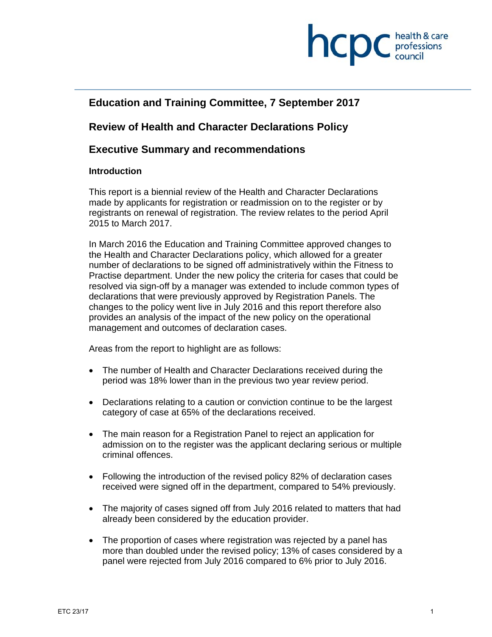

# **Education and Training Committee, 7 September 2017**

# **Review of Health and Character Declarations Policy**

# **Executive Summary and recommendations**

#### **Introduction**

This report is a biennial review of the Health and Character Declarations made by applicants for registration or readmission on to the register or by registrants on renewal of registration. The review relates to the period April 2015 to March 2017.

In March 2016 the Education and Training Committee approved changes to the Health and Character Declarations policy, which allowed for a greater number of declarations to be signed off administratively within the Fitness to Practise department. Under the new policy the criteria for cases that could be resolved via sign-off by a manager was extended to include common types of declarations that were previously approved by Registration Panels. The changes to the policy went live in July 2016 and this report therefore also provides an analysis of the impact of the new policy on the operational management and outcomes of declaration cases.

Areas from the report to highlight are as follows:

- The number of Health and Character Declarations received during the period was 18% lower than in the previous two year review period.
- Declarations relating to a caution or conviction continue to be the largest category of case at 65% of the declarations received.
- The main reason for a Registration Panel to reject an application for admission on to the register was the applicant declaring serious or multiple criminal offences.
- Following the introduction of the revised policy 82% of declaration cases received were signed off in the department, compared to 54% previously.
- The majority of cases signed off from July 2016 related to matters that had already been considered by the education provider.
- The proportion of cases where registration was rejected by a panel has more than doubled under the revised policy; 13% of cases considered by a panel were rejected from July 2016 compared to 6% prior to July 2016.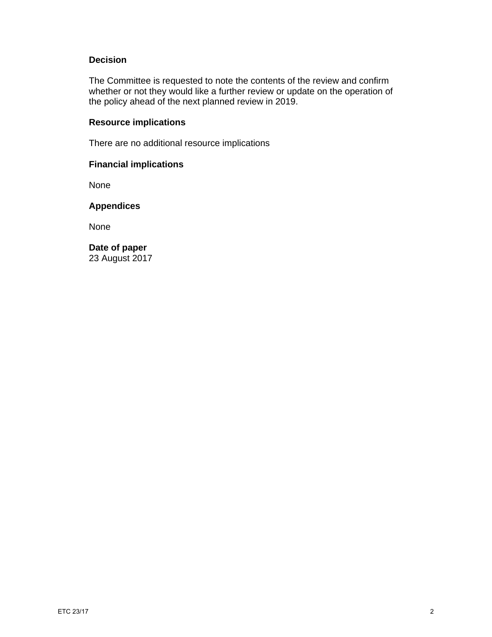## **Decision**

The Committee is requested to note the contents of the review and confirm whether or not they would like a further review or update on the operation of the policy ahead of the next planned review in 2019.

# **Resource implications**

There are no additional resource implications

#### **Financial implications**

None

# **Appendices**

None

**Date of paper**  23 August 2017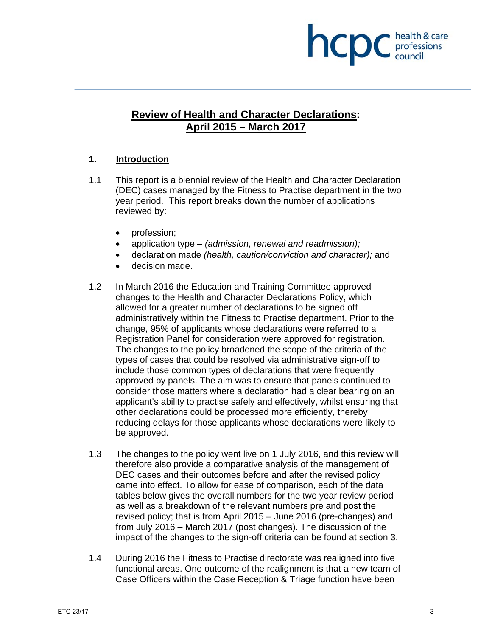# **INCDC** *health & care*

# **Review of Health and Character Declarations: April 2015 – March 2017**

# **1. Introduction**

- 1.1 This report is a biennial review of the Health and Character Declaration (DEC) cases managed by the Fitness to Practise department in the two year period. This report breaks down the number of applications reviewed by:
	- profession;
	- application type *(admission, renewal and readmission);*
	- declaration made *(health, caution/conviction and character);* and
	- decision made.
- 1.2 In March 2016 the Education and Training Committee approved changes to the Health and Character Declarations Policy, which allowed for a greater number of declarations to be signed off administratively within the Fitness to Practise department. Prior to the change, 95% of applicants whose declarations were referred to a Registration Panel for consideration were approved for registration. The changes to the policy broadened the scope of the criteria of the types of cases that could be resolved via administrative sign-off to include those common types of declarations that were frequently approved by panels. The aim was to ensure that panels continued to consider those matters where a declaration had a clear bearing on an applicant's ability to practise safely and effectively, whilst ensuring that other declarations could be processed more efficiently, thereby reducing delays for those applicants whose declarations were likely to be approved.
- 1.3 The changes to the policy went live on 1 July 2016, and this review will therefore also provide a comparative analysis of the management of DEC cases and their outcomes before and after the revised policy came into effect. To allow for ease of comparison, each of the data tables below gives the overall numbers for the two year review period as well as a breakdown of the relevant numbers pre and post the revised policy; that is from April 2015 – June 2016 (pre-changes) and from July 2016 – March 2017 (post changes). The discussion of the impact of the changes to the sign-off criteria can be found at section 3.
- 1.4 During 2016 the Fitness to Practise directorate was realigned into five functional areas. One outcome of the realignment is that a new team of Case Officers within the Case Reception & Triage function have been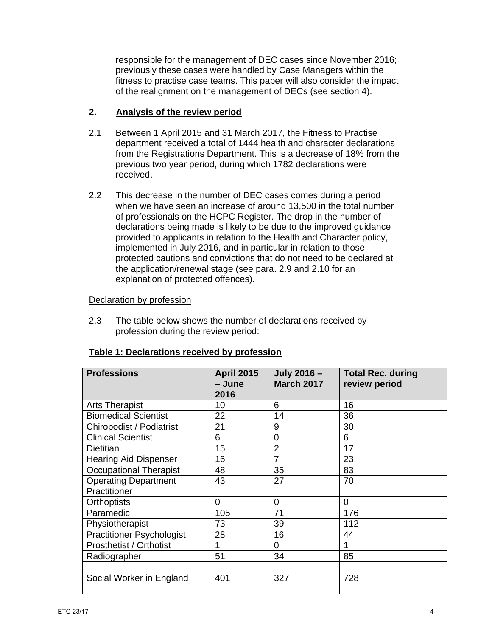responsible for the management of DEC cases since November 2016; previously these cases were handled by Case Managers within the fitness to practise case teams. This paper will also consider the impact of the realignment on the management of DECs (see section 4).

#### **2. Analysis of the review period**

- 2.1 Between 1 April 2015 and 31 March 2017, the Fitness to Practise department received a total of 1444 health and character declarations from the Registrations Department. This is a decrease of 18% from the previous two year period, during which 1782 declarations were received.
- 2.2 This decrease in the number of DEC cases comes during a period when we have seen an increase of around 13,500 in the total number of professionals on the HCPC Register. The drop in the number of declarations being made is likely to be due to the improved guidance provided to applicants in relation to the Health and Character policy, implemented in July 2016, and in particular in relation to those protected cautions and convictions that do not need to be declared at the application/renewal stage (see para. 2.9 and 2.10 for an explanation of protected offences).

## Declaration by profession

2.3 The table below shows the number of declarations received by profession during the review period:

| <b>Professions</b>               | <b>April 2015</b><br>- June<br>2016 | July 2016 -<br><b>March 2017</b> | <b>Total Rec. during</b><br>review period |
|----------------------------------|-------------------------------------|----------------------------------|-------------------------------------------|
| <b>Arts Therapist</b>            | 10                                  | 6                                | 16                                        |
| <b>Biomedical Scientist</b>      | 22                                  | 14                               | 36                                        |
| Chiropodist / Podiatrist         | 21                                  | 9                                | 30                                        |
| <b>Clinical Scientist</b>        | 6                                   | 0                                | 6                                         |
| <b>Dietitian</b>                 | 15                                  | $\overline{2}$                   | 17                                        |
| <b>Hearing Aid Dispenser</b>     | 16                                  | $\overline{7}$                   | 23                                        |
| <b>Occupational Therapist</b>    | 48                                  | 35                               | 83                                        |
| <b>Operating Department</b>      | 43                                  | 27                               | 70                                        |
| Practitioner                     |                                     |                                  |                                           |
| <b>Orthoptists</b>               | 0                                   | $\Omega$                         | $\Omega$                                  |
| Paramedic                        | 105                                 | 71                               | 176                                       |
| Physiotherapist                  | 73                                  | 39                               | 112                                       |
| <b>Practitioner Psychologist</b> | 28                                  | 16                               | 44                                        |
| <b>Prosthetist / Orthotist</b>   |                                     | $\Omega$                         |                                           |
| Radiographer                     | 51                                  | 34                               | 85                                        |
|                                  |                                     |                                  |                                           |
| Social Worker in England         | 401                                 | 327                              | 728                                       |

#### **Table 1: Declarations received by profession**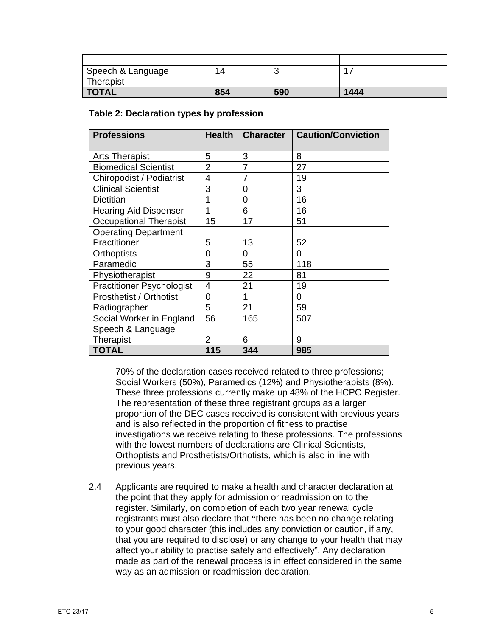| Speech & Language | 14  |     | 47   |
|-------------------|-----|-----|------|
| Therapist         |     |     |      |
| <b>TOTAL</b>      | 854 | 590 | 1444 |

#### **Table 2: Declaration types by profession**

| <b>Professions</b>               | <b>Health</b>  | Character      | <b>Caution/Conviction</b> |
|----------------------------------|----------------|----------------|---------------------------|
| <b>Arts Therapist</b>            | 5              | 3              | 8                         |
| <b>Biomedical Scientist</b>      | $\overline{2}$ | 7              | 27                        |
| Chiropodist / Podiatrist         | 4              | $\overline{7}$ | 19                        |
| <b>Clinical Scientist</b>        | 3              | 0              | 3                         |
| <b>Dietitian</b>                 | 1              | 0              | 16                        |
| <b>Hearing Aid Dispenser</b>     | 1              | 6              | 16                        |
| <b>Occupational Therapist</b>    | 15             | 17             | 51                        |
| <b>Operating Department</b>      |                |                |                           |
| Practitioner                     | 5              | 13             | 52                        |
| <b>Orthoptists</b>               | 0              | 0              | $\Omega$                  |
| Paramedic                        | 3              | 55             | 118                       |
| Physiotherapist                  | 9              | 22             | 81                        |
| <b>Practitioner Psychologist</b> | 4              | 21             | 19                        |
| <b>Prosthetist / Orthotist</b>   | 0              | 1              | 0                         |
| Radiographer                     | 5              | 21             | 59                        |
| Social Worker in England         | 56             | 165            | 507                       |
| Speech & Language                |                |                |                           |
| Therapist                        | 2              | 6              | 9                         |
| <b>TOTAL</b>                     | 115            | 344            | 985                       |

70% of the declaration cases received related to three professions; Social Workers (50%), Paramedics (12%) and Physiotherapists (8%). These three professions currently make up 48% of the HCPC Register. The representation of these three registrant groups as a larger proportion of the DEC cases received is consistent with previous years and is also reflected in the proportion of fitness to practise investigations we receive relating to these professions. The professions with the lowest numbers of declarations are Clinical Scientists, Orthoptists and Prosthetists/Orthotists, which is also in line with previous years.

2.4 Applicants are required to make a health and character declaration at the point that they apply for admission or readmission on to the register. Similarly, on completion of each two year renewal cycle registrants must also declare that "there has been no change relating to your good character (this includes any conviction or caution, if any, that you are required to disclose) or any change to your health that may affect your ability to practise safely and effectively". Any declaration made as part of the renewal process is in effect considered in the same way as an admission or readmission declaration.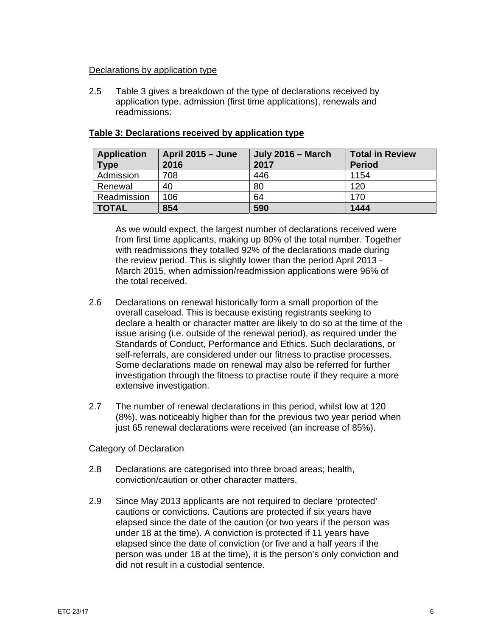#### Declarations by application type

2.5 Table 3 gives a breakdown of the type of declarations received by application type, admission (first time applications), renewals and readmissions:

| <b>Application</b><br><b>Type</b> | <b>April 2015 – June</b><br>2016 | <b>July 2016 - March</b><br>2017 | <b>Total in Review</b><br><b>Period</b> |
|-----------------------------------|----------------------------------|----------------------------------|-----------------------------------------|
| Admission                         | 708                              | 446                              | 1154                                    |
| Renewal                           | 40                               | 80                               | 120                                     |
| Readmission                       | 106                              | 64                               | 170                                     |
| <b>TOTAL</b>                      | 854                              | 590                              | 1444                                    |

#### **Table 3: Declarations received by application type**

As we would expect, the largest number of declarations received were from first time applicants, making up 80% of the total number. Together with readmissions they totalled 92% of the declarations made during the review period. This is slightly lower than the period April 2013 - March 2015, when admission/readmission applications were 96% of the total received.

- 2.6 Declarations on renewal historically form a small proportion of the overall caseload. This is because existing registrants seeking to declare a health or character matter are likely to do so at the time of the issue arising (i.e. outside of the renewal period), as required under the Standards of Conduct, Performance and Ethics. Such declarations, or self-referrals, are considered under our fitness to practise processes. Some declarations made on renewal may also be referred for further investigation through the fitness to practise route if they require a more extensive investigation.
- 2.7 The number of renewal declarations in this period, whilst low at 120 (8%), was noticeably higher than for the previous two year period when just 65 renewal declarations were received (an increase of 85%).

#### Category of Declaration

- 2.8 Declarations are categorised into three broad areas; health, conviction/caution or other character matters.
- 2.9 Since May 2013 applicants are not required to declare 'protected' cautions or convictions. Cautions are protected if six years have elapsed since the date of the caution (or two years if the person was under 18 at the time). A conviction is protected if 11 years have elapsed since the date of conviction (or five and a half years if the person was under 18 at the time), it is the person's only conviction and did not result in a custodial sentence.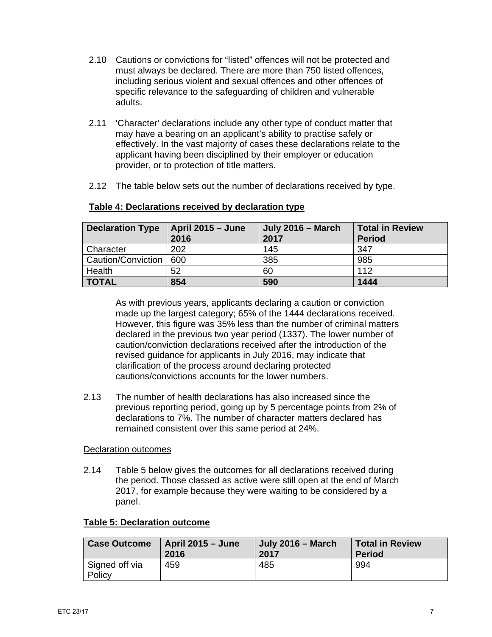- 2.10 Cautions or convictions for "listed" offences will not be protected and must always be declared. There are more than 750 listed offences, including serious violent and sexual offences and other offences of specific relevance to the safeguarding of children and vulnerable adults.
- 2.11 'Character' declarations include any other type of conduct matter that may have a bearing on an applicant's ability to practise safely or effectively. In the vast majority of cases these declarations relate to the applicant having been disciplined by their employer or education provider, or to protection of title matters.
- 2.12 The table below sets out the number of declarations received by type.

| <b>Declaration Type</b> | <b>April 2015 - June</b><br>2016 | <b>July 2016 - March</b><br>2017 | <b>Total in Review</b><br><b>Period</b> |
|-------------------------|----------------------------------|----------------------------------|-----------------------------------------|
| Character               | 202                              | 145                              | 347                                     |
| Caution/Conviction      | 600                              | 385                              | 985                                     |
| Health                  | 52                               | 60                               | 112                                     |
| <b>TOTAL</b>            | 854                              | 590                              | 1444                                    |

#### **Table 4: Declarations received by declaration type**

As with previous years, applicants declaring a caution or conviction made up the largest category; 65% of the 1444 declarations received. However, this figure was 35% less than the number of criminal matters declared in the previous two year period (1337). The lower number of caution/conviction declarations received after the introduction of the revised guidance for applicants in July 2016, may indicate that clarification of the process around declaring protected cautions/convictions accounts for the lower numbers.

2.13 The number of health declarations has also increased since the previous reporting period, going up by 5 percentage points from 2% of declarations to 7%. The number of character matters declared has remained consistent over this same period at 24%.

#### Declaration outcomes

2.14 Table 5 below gives the outcomes for all declarations received during the period. Those classed as active were still open at the end of March 2017, for example because they were waiting to be considered by a panel.

#### **Table 5: Declaration outcome**

| <b>Case Outcome</b>      | <b>April 2015 – June</b> | July 2016 – March | <b>Total in Review</b> |
|--------------------------|--------------------------|-------------------|------------------------|
|                          | 2016                     | 2017              | <b>Period</b>          |
| Signed off via<br>Policy | 459                      | 485               | 994                    |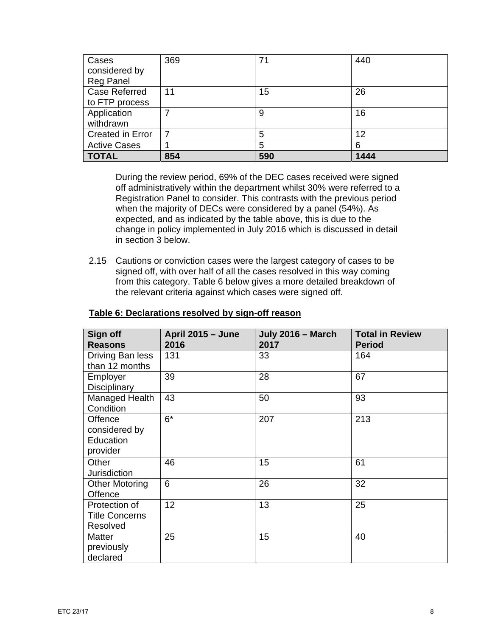| Cases                   | 369 | 71  | 440  |
|-------------------------|-----|-----|------|
| considered by           |     |     |      |
| <b>Reg Panel</b>        |     |     |      |
| <b>Case Referred</b>    | 11  | 15  | 26   |
| to FTP process          |     |     |      |
| Application             |     | 9   | 16   |
| withdrawn               |     |     |      |
| <b>Created in Error</b> |     | 5   | 12   |
| <b>Active Cases</b>     |     | 5   | 6    |
| <b>TOTAL</b>            | 854 | 590 | 1444 |

During the review period, 69% of the DEC cases received were signed off administratively within the department whilst 30% were referred to a Registration Panel to consider. This contrasts with the previous period when the majority of DECs were considered by a panel (54%). As expected, and as indicated by the table above, this is due to the change in policy implemented in July 2016 which is discussed in detail in section 3 below.

2.15 Cautions or conviction cases were the largest category of cases to be signed off, with over half of all the cases resolved in this way coming from this category. Table 6 below gives a more detailed breakdown of the relevant criteria against which cases were signed off.

| Sign off<br><b>Reasons</b>                         | April 2015 - June<br>2016 | July 2016 - March<br>2017 | <b>Total in Review</b><br><b>Period</b> |
|----------------------------------------------------|---------------------------|---------------------------|-----------------------------------------|
| Driving Ban less<br>than 12 months                 | 131                       | 33                        | 164                                     |
| Employer<br>Disciplinary                           | 39                        | 28                        | 67                                      |
| Managed Health<br>Condition                        | 43                        | 50                        | 93                                      |
| Offence<br>considered by<br>Education<br>provider  | $6*$                      | 207                       | 213                                     |
| Other<br>Jurisdiction                              | 46                        | 15                        | 61                                      |
| <b>Other Motoring</b><br>Offence                   | 6                         | 26                        | 32                                      |
| Protection of<br><b>Title Concerns</b><br>Resolved | 12                        | 13                        | 25                                      |
| <b>Matter</b><br>previously<br>declared            | 25                        | 15                        | 40                                      |

#### **Table 6: Declarations resolved by sign-off reason**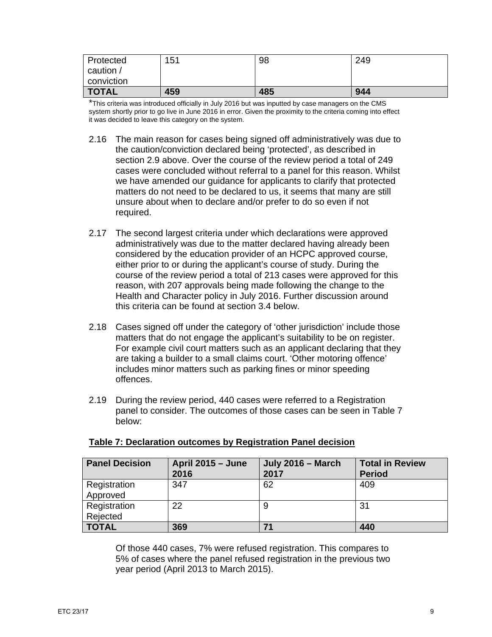| Protected    | 151 | 98  | 249 |
|--------------|-----|-----|-----|
| caution /    |     |     |     |
| conviction   |     |     |     |
| <b>TOTAL</b> | 459 | 485 | 944 |

\*This criteria was introduced officially in July 2016 but was inputted by case managers on the CMS system shortly prior to go live in June 2016 in error. Given the proximity to the criteria coming into effect it was decided to leave this category on the system.

- 2.16 The main reason for cases being signed off administratively was due to the caution/conviction declared being 'protected', as described in section 2.9 above. Over the course of the review period a total of 249 cases were concluded without referral to a panel for this reason. Whilst we have amended our guidance for applicants to clarify that protected matters do not need to be declared to us, it seems that many are still unsure about when to declare and/or prefer to do so even if not required.
- 2.17 The second largest criteria under which declarations were approved administratively was due to the matter declared having already been considered by the education provider of an HCPC approved course, either prior to or during the applicant's course of study. During the course of the review period a total of 213 cases were approved for this reason, with 207 approvals being made following the change to the Health and Character policy in July 2016. Further discussion around this criteria can be found at section 3.4 below.
- 2.18 Cases signed off under the category of 'other jurisdiction' include those matters that do not engage the applicant's suitability to be on register. For example civil court matters such as an applicant declaring that they are taking a builder to a small claims court. 'Other motoring offence' includes minor matters such as parking fines or minor speeding offences.
- 2.19 During the review period, 440 cases were referred to a Registration panel to consider. The outcomes of those cases can be seen in Table 7 below:

| <b>Panel Decision</b>    | <b>April 2015 - June</b><br>2016 | <b>July 2016 – March</b><br>2017 | <b>Total in Review</b><br><b>Period</b> |
|--------------------------|----------------------------------|----------------------------------|-----------------------------------------|
| Registration<br>Approved | 347                              | 62                               | 409                                     |
| Registration<br>Rejected | 22                               |                                  | 31                                      |
| <b>TOTAL</b>             | 369                              | 71                               | 440                                     |

#### **Table 7: Declaration outcomes by Registration Panel decision**

Of those 440 cases, 7% were refused registration. This compares to 5% of cases where the panel refused registration in the previous two year period (April 2013 to March 2015).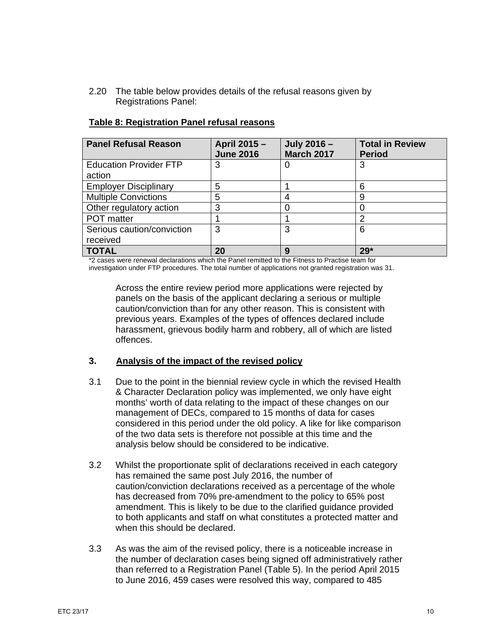2.20 The table below provides details of the refusal reasons given by Registrations Panel:

| <b>Panel Refusal Reason</b>   | April 2015 -<br><b>June 2016</b> | July 2016 -<br><b>March 2017</b> | <b>Total in Review</b><br><b>Period</b> |
|-------------------------------|----------------------------------|----------------------------------|-----------------------------------------|
| <b>Education Provider FTP</b> | 3                                | O                                | 3                                       |
| action                        |                                  |                                  |                                         |
| <b>Employer Disciplinary</b>  | 5                                |                                  | 6                                       |
| <b>Multiple Convictions</b>   | 5                                |                                  | 9                                       |
| Other regulatory action       | 3                                |                                  |                                         |
| <b>POT</b> matter             |                                  |                                  | 2                                       |
| Serious caution/conviction    | 3                                | 3                                | 6                                       |
| received                      |                                  |                                  |                                         |
| <b>TOTAL</b>                  | 20                               | 9                                | $29*$                                   |

#### **Table 8: Registration Panel refusal reasons**

\*2 cases were renewal declarations which the Panel remitted to the Fitness to Practise team for investigation under FTP procedures. The total number of applications not granted registration was 31.

Across the entire review period more applications were rejected by panels on the basis of the applicant declaring a serious or multiple caution/conviction than for any other reason. This is consistent with previous years. Examples of the types of offences declared include harassment, grievous bodily harm and robbery, all of which are listed offences.

#### **3. Analysis of the impact of the revised policy**

- 3.1 Due to the point in the biennial review cycle in which the revised Health & Character Declaration policy was implemented, we only have eight months' worth of data relating to the impact of these changes on our management of DECs, compared to 15 months of data for cases considered in this period under the old policy. A like for like comparison of the two data sets is therefore not possible at this time and the analysis below should be considered to be indicative.
- 3.2 Whilst the proportionate split of declarations received in each category has remained the same post July 2016, the number of caution/conviction declarations received as a percentage of the whole has decreased from 70% pre-amendment to the policy to 65% post amendment. This is likely to be due to the clarified guidance provided to both applicants and staff on what constitutes a protected matter and when this should be declared.
- 3.3 As was the aim of the revised policy, there is a noticeable increase in the number of declaration cases being signed off administratively rather than referred to a Registration Panel (Table 5). In the period April 2015 to June 2016, 459 cases were resolved this way, compared to 485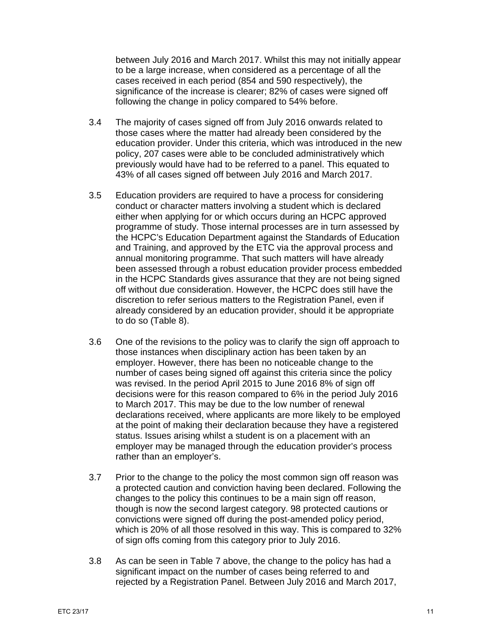between July 2016 and March 2017. Whilst this may not initially appear to be a large increase, when considered as a percentage of all the cases received in each period (854 and 590 respectively), the significance of the increase is clearer; 82% of cases were signed off following the change in policy compared to 54% before.

- 3.4 The majority of cases signed off from July 2016 onwards related to those cases where the matter had already been considered by the education provider. Under this criteria, which was introduced in the new policy, 207 cases were able to be concluded administratively which previously would have had to be referred to a panel. This equated to 43% of all cases signed off between July 2016 and March 2017.
- 3.5 Education providers are required to have a process for considering conduct or character matters involving a student which is declared either when applying for or which occurs during an HCPC approved programme of study. Those internal processes are in turn assessed by the HCPC's Education Department against the Standards of Education and Training, and approved by the ETC via the approval process and annual monitoring programme. That such matters will have already been assessed through a robust education provider process embedded in the HCPC Standards gives assurance that they are not being signed off without due consideration. However, the HCPC does still have the discretion to refer serious matters to the Registration Panel, even if already considered by an education provider, should it be appropriate to do so (Table 8).
- 3.6 One of the revisions to the policy was to clarify the sign off approach to those instances when disciplinary action has been taken by an employer. However, there has been no noticeable change to the number of cases being signed off against this criteria since the policy was revised. In the period April 2015 to June 2016 8% of sign off decisions were for this reason compared to 6% in the period July 2016 to March 2017. This may be due to the low number of renewal declarations received, where applicants are more likely to be employed at the point of making their declaration because they have a registered status. Issues arising whilst a student is on a placement with an employer may be managed through the education provider's process rather than an employer's.
- 3.7 Prior to the change to the policy the most common sign off reason was a protected caution and conviction having been declared. Following the changes to the policy this continues to be a main sign off reason, though is now the second largest category. 98 protected cautions or convictions were signed off during the post-amended policy period, which is 20% of all those resolved in this way. This is compared to 32% of sign offs coming from this category prior to July 2016.
- 3.8 As can be seen in Table 7 above, the change to the policy has had a significant impact on the number of cases being referred to and rejected by a Registration Panel. Between July 2016 and March 2017,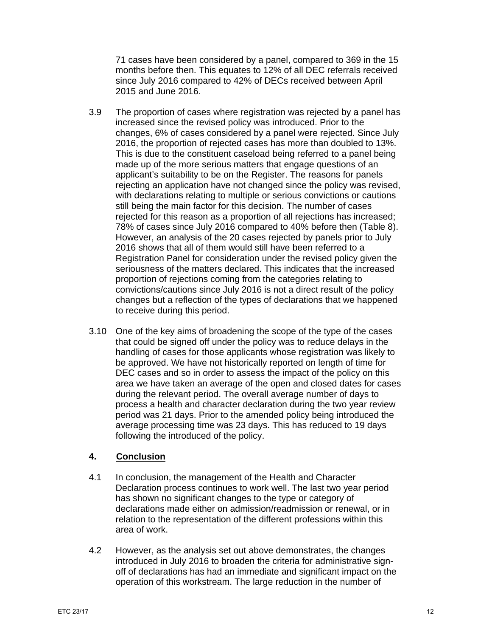71 cases have been considered by a panel, compared to 369 in the 15 months before then. This equates to 12% of all DEC referrals received since July 2016 compared to 42% of DECs received between April 2015 and June 2016.

- 3.9 The proportion of cases where registration was rejected by a panel has increased since the revised policy was introduced. Prior to the changes, 6% of cases considered by a panel were rejected. Since July 2016, the proportion of rejected cases has more than doubled to 13%. This is due to the constituent caseload being referred to a panel being made up of the more serious matters that engage questions of an applicant's suitability to be on the Register. The reasons for panels rejecting an application have not changed since the policy was revised, with declarations relating to multiple or serious convictions or cautions still being the main factor for this decision. The number of cases rejected for this reason as a proportion of all rejections has increased; 78% of cases since July 2016 compared to 40% before then (Table 8). However, an analysis of the 20 cases rejected by panels prior to July 2016 shows that all of them would still have been referred to a Registration Panel for consideration under the revised policy given the seriousness of the matters declared. This indicates that the increased proportion of rejections coming from the categories relating to convictions/cautions since July 2016 is not a direct result of the policy changes but a reflection of the types of declarations that we happened to receive during this period.
- 3.10 One of the key aims of broadening the scope of the type of the cases that could be signed off under the policy was to reduce delays in the handling of cases for those applicants whose registration was likely to be approved. We have not historically reported on length of time for DEC cases and so in order to assess the impact of the policy on this area we have taken an average of the open and closed dates for cases during the relevant period. The overall average number of days to process a health and character declaration during the two year review period was 21 days. Prior to the amended policy being introduced the average processing time was 23 days. This has reduced to 19 days following the introduced of the policy.

#### **4. Conclusion**

- 4.1 In conclusion, the management of the Health and Character Declaration process continues to work well. The last two year period has shown no significant changes to the type or category of declarations made either on admission/readmission or renewal, or in relation to the representation of the different professions within this area of work.
- 4.2 However, as the analysis set out above demonstrates, the changes introduced in July 2016 to broaden the criteria for administrative signoff of declarations has had an immediate and significant impact on the operation of this workstream. The large reduction in the number of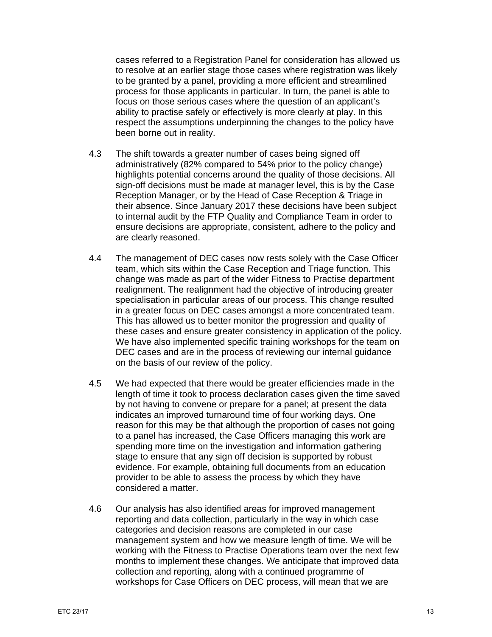cases referred to a Registration Panel for consideration has allowed us to resolve at an earlier stage those cases where registration was likely to be granted by a panel, providing a more efficient and streamlined process for those applicants in particular. In turn, the panel is able to focus on those serious cases where the question of an applicant's ability to practise safely or effectively is more clearly at play. In this respect the assumptions underpinning the changes to the policy have been borne out in reality.

- 4.3 The shift towards a greater number of cases being signed off administratively (82% compared to 54% prior to the policy change) highlights potential concerns around the quality of those decisions. All sign-off decisions must be made at manager level, this is by the Case Reception Manager, or by the Head of Case Reception & Triage in their absence. Since January 2017 these decisions have been subject to internal audit by the FTP Quality and Compliance Team in order to ensure decisions are appropriate, consistent, adhere to the policy and are clearly reasoned.
- 4.4 The management of DEC cases now rests solely with the Case Officer team, which sits within the Case Reception and Triage function. This change was made as part of the wider Fitness to Practise department realignment. The realignment had the objective of introducing greater specialisation in particular areas of our process. This change resulted in a greater focus on DEC cases amongst a more concentrated team. This has allowed us to better monitor the progression and quality of these cases and ensure greater consistency in application of the policy. We have also implemented specific training workshops for the team on DEC cases and are in the process of reviewing our internal guidance on the basis of our review of the policy.
- 4.5 We had expected that there would be greater efficiencies made in the length of time it took to process declaration cases given the time saved by not having to convene or prepare for a panel; at present the data indicates an improved turnaround time of four working days. One reason for this may be that although the proportion of cases not going to a panel has increased, the Case Officers managing this work are spending more time on the investigation and information gathering stage to ensure that any sign off decision is supported by robust evidence. For example, obtaining full documents from an education provider to be able to assess the process by which they have considered a matter.
- 4.6 Our analysis has also identified areas for improved management reporting and data collection, particularly in the way in which case categories and decision reasons are completed in our case management system and how we measure length of time. We will be working with the Fitness to Practise Operations team over the next few months to implement these changes. We anticipate that improved data collection and reporting, along with a continued programme of workshops for Case Officers on DEC process, will mean that we are